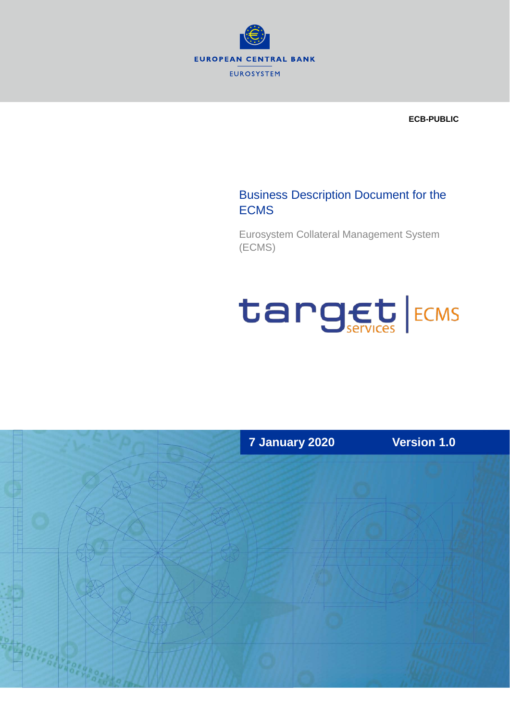

**ECB-PUBLIC** 

## Business Description Document for the **ECMS**

Eurosystem Collateral Management System (ECMS)

# target ECMS

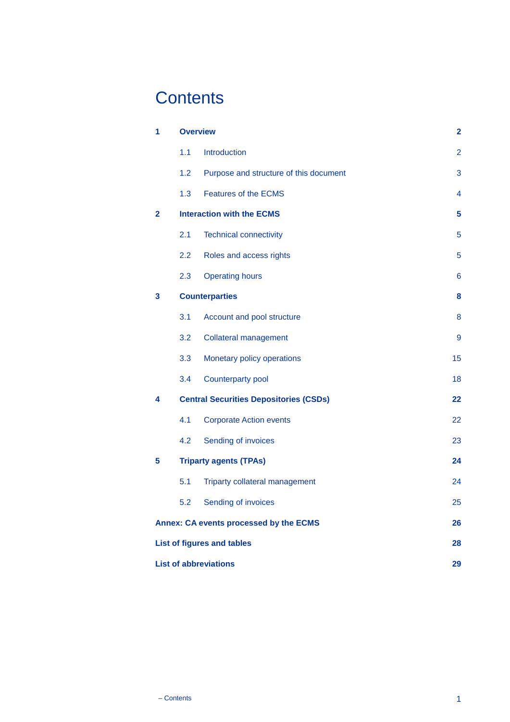# **Contents**

| 1                                                   |     | <b>Overview</b>                               |                |
|-----------------------------------------------------|-----|-----------------------------------------------|----------------|
|                                                     | 1.1 | Introduction                                  | $\overline{2}$ |
|                                                     | 1.2 | Purpose and structure of this document        | 3              |
|                                                     | 1.3 | <b>Features of the ECMS</b>                   | 4              |
| $\overline{2}$                                      |     | <b>Interaction with the ECMS</b>              | 5              |
|                                                     | 2.1 | <b>Technical connectivity</b>                 | 5              |
|                                                     | 2.2 | Roles and access rights                       | 5              |
|                                                     | 2.3 | <b>Operating hours</b>                        | 6              |
| 3                                                   |     | <b>Counterparties</b>                         |                |
|                                                     | 3.1 | Account and pool structure                    | 8              |
|                                                     | 3.2 | <b>Collateral management</b>                  | 9              |
|                                                     | 3.3 | Monetary policy operations                    | 15             |
|                                                     | 3.4 | Counterparty pool                             | 18             |
| 4                                                   |     | <b>Central Securities Depositories (CSDs)</b> | 22             |
|                                                     | 4.1 | <b>Corporate Action events</b>                | 22             |
|                                                     | 4.2 | Sending of invoices                           | 23             |
| 5                                                   |     | <b>Triparty agents (TPAs)</b>                 |                |
|                                                     | 5.1 | Triparty collateral management                | 24             |
|                                                     | 5.2 | Sending of invoices                           | 25             |
| <b>Annex: CA events processed by the ECMS</b><br>26 |     |                                               |                |
| <b>List of figures and tables</b><br>28             |     |                                               |                |
| <b>List of abbreviations</b>                        |     |                                               | 29             |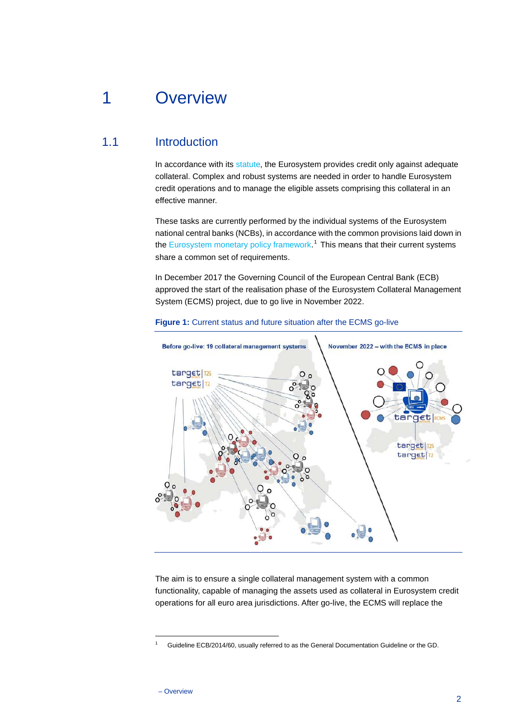# <span id="page-2-0"></span>1 Overview

## 1.1 Introduction

<span id="page-2-1"></span>In accordance with its [statute,](https://www.ecb.europa.eu/ecb/legal/1341/1343/html/act_10821_amend.en.html) the Eurosystem provides credit only against adequate collateral. Complex and robust systems are needed in order to handle Eurosystem credit operations and to manage the eligible assets comprising this collateral in an effective manner.

These tasks are currently performed by the individual systems of the Eurosystem national central banks (NCBs), in accordance with the common provisions laid down in the [Eurosystem monetary policy framework.](https://www.ecb.europa.eu/ecb/legal/1002/1014/html/index-tabs.en.html#gf)<sup>[1](#page-2-2)</sup> This means that their current systems share a common set of requirements.

In December 2017 the Governing Council of the European Central Bank (ECB) approved the start of the realisation phase of the Eurosystem Collateral Management System (ECMS) project, due to go live in November 2022.



#### <span id="page-2-3"></span>**Figure 1:** Current status and future situation after the ECMS go-live

The aim is to ensure a single collateral management system with a common functionality, capable of managing the assets used as collateral in Eurosystem credit operations for all euro area jurisdictions. After go-live, the ECMS will replace the

<span id="page-2-2"></span><sup>1</sup> Guideline ECB/2014/60, usually referred to as the General Documentation Guideline or the GD.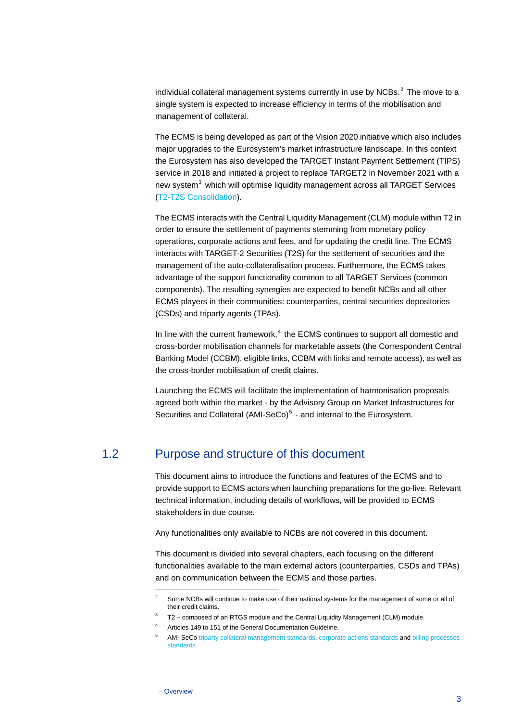individual collateral management systems currently in use by NCBs. [2](#page-3-1) The move to a single system is expected to increase efficiency in terms of the mobilisation and management of collateral.

The ECMS is being developed as part of the Vision 2020 initiative which also includes major upgrades to the Eurosystem's market infrastructure landscape. In this context the Eurosystem has also developed the TARGET Instant Payment Settlement (TIPS) service in 2018 and initiated a project to replace TARGET2 in November 2021 with a new system<sup>[3](#page-3-2)</sup> which will optimise liquidity management across all TARGET Services [\(T2-T2S Consolidation\)](https://www.ecb.europa.eu/paym/target/consolidation/html/index.en.html).

The ECMS interacts with the Central Liquidity Management (CLM) module within T2 in order to ensure the settlement of payments stemming from monetary policy operations, corporate actions and fees, and for updating the credit line. The ECMS interacts with TARGET-2 Securities (T2S) for the settlement of securities and the management of the auto-collateralisation process. Furthermore, the ECMS takes advantage of the support functionality common to all TARGET Services (common components). The resulting synergies are expected to benefit NCBs and all other ECMS players in their communities: counterparties, central securities depositories (CSDs) and triparty agents (TPAs).

In line with the current framework, $4$  the ECMS continues to support all domestic and cross-border mobilisation channels for marketable assets (the Correspondent Central Banking Model (CCBM), eligible links, CCBM with links and remote access), as well as the cross-border mobilisation of credit claims.

<span id="page-3-0"></span>Launching the ECMS will facilitate the implementation of harmonisation proposals agreed both within the market - by the Advisory Group on Market Infrastructures for Securities and Collateral  $(AMI-Seco)^5$  $(AMI-Seco)^5$  - and internal to the Eurosystem.

## 1.2 Purpose and structure of this document

This document aims to introduce the functions and features of the ECMS and to provide support to ECMS actors when launching preparations for the go-live. Relevant technical information, including details of workflows, will be provided to ECMS stakeholders in due course.

Any functionalities only available to NCBs are not covered in this document.

This document is divided into several chapters, each focusing on the different functionalities available to the main external actors (counterparties, CSDs and TPAs) and on communication between the ECMS and those parties.

<span id="page-3-1"></span>Some NCBs will continue to make use of their national systems for the management of some or all of their credit claims.

 $3$  T2 – composed of an RTGS module and the Central Liquidity Management (CLM) module.

<span id="page-3-2"></span>Articles 149 to 151 of the General Documentation Guideline.

<span id="page-3-4"></span><span id="page-3-3"></span>AMI-SeC[o triparty collateral management standards,](https://www.ecb.europa.eu/paym/intro/publications/pdf/ecb.AMI-SeCo_Triparty_Collateral_Management.pdf?ae2b1ef39e8a462f0a0531513b17c0f3) [corporate actions standards](https://www.ecb.europa.eu/paym/intro/publications/pdf/ecb.AMI-SeCo_Corporate_Actions.pdf?579152921f0a983d706ebcb0c5a3d75a) and billing processes [standards](https://www.ecb.europa.eu/paym/intro/publications/pdf/ecb.AMI-SeCo_Billing.pdf?8555367f0b353462bd425da9a27b54e1)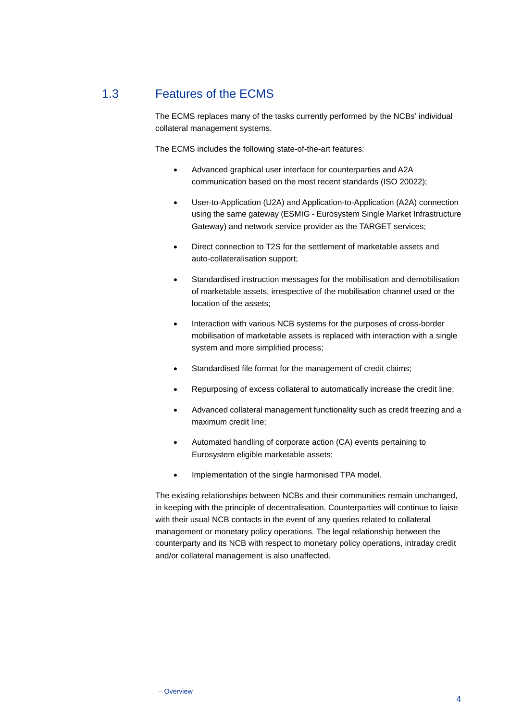## 1.3 Features of the ECMS

<span id="page-4-0"></span>The ECMS replaces many of the tasks currently performed by the NCBs' individual collateral management systems.

The ECMS includes the following state-of-the-art features:

- Advanced graphical user interface for counterparties and A2A communication based on the most recent standards (ISO 20022);
- User-to-Application (U2A) and Application-to-Application (A2A) connection using the same gateway (ESMIG - Eurosystem Single Market Infrastructure Gateway) and network service provider as the TARGET services;
- Direct connection to T2S for the settlement of marketable assets and auto-collateralisation support;
- Standardised instruction messages for the mobilisation and demobilisation of marketable assets, irrespective of the mobilisation channel used or the location of the assets;
- Interaction with various NCB systems for the purposes of cross-border mobilisation of marketable assets is replaced with interaction with a single system and more simplified process;
- Standardised file format for the management of credit claims;
- Repurposing of excess collateral to automatically increase the credit line;
- Advanced collateral management functionality such as credit freezing and a maximum credit line;
- Automated handling of corporate action (CA) events pertaining to Eurosystem eligible marketable assets;
- Implementation of the single harmonised TPA model.

The existing relationships between NCBs and their communities remain unchanged, in keeping with the principle of decentralisation. Counterparties will continue to liaise with their usual NCB contacts in the event of any queries related to collateral management or monetary policy operations. The legal relationship between the counterparty and its NCB with respect to monetary policy operations, intraday credit and/or collateral management is also unaffected.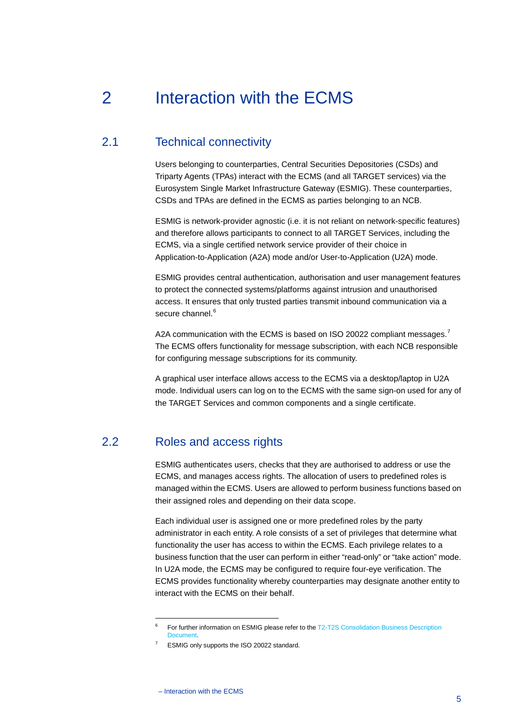# <span id="page-5-0"></span>2 Interaction with the ECMS

## 2.1 Technical connectivity

<span id="page-5-1"></span>Users belonging to counterparties, Central Securities Depositories (CSDs) and Triparty Agents (TPAs) interact with the ECMS (and all TARGET services) via the Eurosystem Single Market Infrastructure Gateway (ESMIG). These counterparties, CSDs and TPAs are defined in the ECMS as parties belonging to an NCB.

ESMIG is network-provider agnostic (i.e. it is not reliant on network-specific features) and therefore allows participants to connect to all TARGET Services, including the ECMS, via a single certified network service provider of their choice in Application-to-Application (A2A) mode and/or User-to-Application (U2A) mode.

ESMIG provides central authentication, authorisation and user management features to protect the connected systems/platforms against intrusion and unauthorised access. It ensures that only trusted parties transmit inbound communication via a secure channel.<sup>[6](#page-5-3)</sup>

A2A communication with the ECMS is based on ISO 20022 compliant messages.<sup>[7](#page-5-4)</sup> The ECMS offers functionality for message subscription, with each NCB responsible for configuring message subscriptions for its community.

<span id="page-5-2"></span>A graphical user interface allows access to the ECMS via a desktop/laptop in U2A mode. Individual users can log on to the ECMS with the same sign-on used for any of the TARGET Services and common components and a single certificate.

## 2.2 Roles and access rights

ESMIG authenticates users, checks that they are authorised to address or use the ECMS, and manages access rights. The allocation of users to predefined roles is managed within the ECMS. Users are allowed to perform business functions based on their assigned roles and depending on their data scope.

Each individual user is assigned one or more predefined roles by the party administrator in each entity. A role consists of a set of privileges that determine what functionality the user has access to within the ECMS. Each privilege relates to a business function that the user can perform in either "read-only" or "take action" mode. In U2A mode, the ECMS may be configured to require four-eye verification. The ECMS provides functionality whereby counterparties may designate another entity to interact with the ECMS on their behalf.

<span id="page-5-3"></span><sup>6</sup> For further information on ESMIG please refer to th[e T2-T2S Consolidation Business Description](https://www.ecb.europa.eu/paym/pdf/consultations/Business_Description_Document_v1.0.pdf)  [Document.](https://www.ecb.europa.eu/paym/pdf/consultations/Business_Description_Document_v1.0.pdf)

<span id="page-5-4"></span>ESMIG only supports the ISO 20022 standard.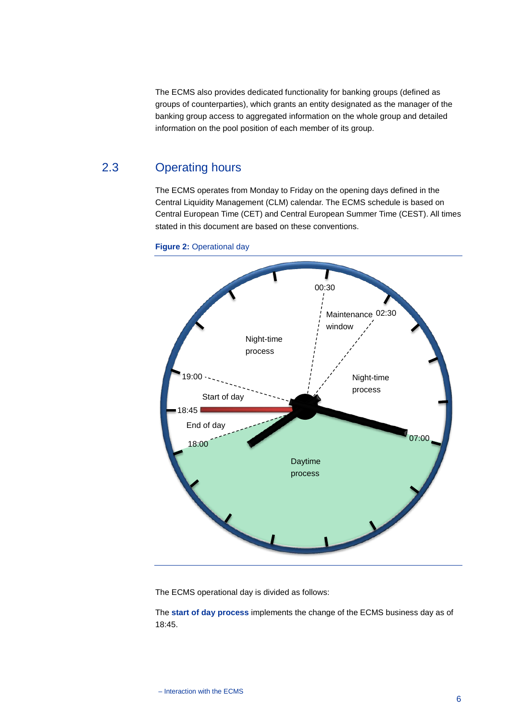The ECMS also provides dedicated functionality for banking groups (defined as groups of counterparties), which grants an entity designated as the manager of the banking group access to aggregated information on the whole group and detailed information on the pool position of each member of its group.

## 2.3 Operating hours

<span id="page-6-0"></span>The ECMS operates from Monday to Friday on the opening days defined in the Central Liquidity Management (CLM) calendar. The ECMS schedule is based on Central European Time (CET) and Central European Summer Time (CEST). All times stated in this document are based on these conventions.



<span id="page-6-1"></span>**Figure 2:** Operational day

The ECMS operational day is divided as follows:

The **start of day process** implements the change of the ECMS business day as of 18:45.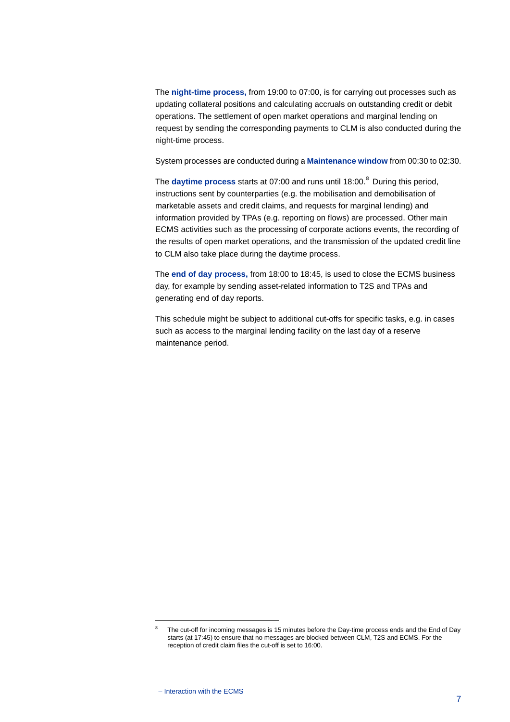The **night-time process,** from 19:00 to 07:00, is for carrying out processes such as updating collateral positions and calculating accruals on outstanding credit or debit operations. The settlement of open market operations and marginal lending on request by sending the corresponding payments to CLM is also conducted during the night-time process.

System processes are conducted during a **Maintenance window** from 00:30 to 02:30.

The **daytime process** starts at 07:00 and runs until 18:00. [8](#page-7-0) During this period, instructions sent by counterparties (e.g. the mobilisation and demobilisation of marketable assets and credit claims, and requests for marginal lending) and information provided by TPAs (e.g. reporting on flows) are processed. Other main ECMS activities such as the processing of corporate actions events, the recording of the results of open market operations, and the transmission of the updated credit line to CLM also take place during the daytime process.

The **end of day process,** from 18:00 to 18:45, is used to close the ECMS business day, for example by sending asset-related information to T2S and TPAs and generating end of day reports.

This schedule might be subject to additional cut-offs for specific tasks, e.g. in cases such as access to the marginal lending facility on the last day of a reserve maintenance period.

<span id="page-7-0"></span>The cut-off for incoming messages is 15 minutes before the Day-time process ends and the End of Day starts (at 17:45) to ensure that no messages are blocked between CLM, T2S and ECMS. For the reception of credit claim files the cut-off is set to 16:00.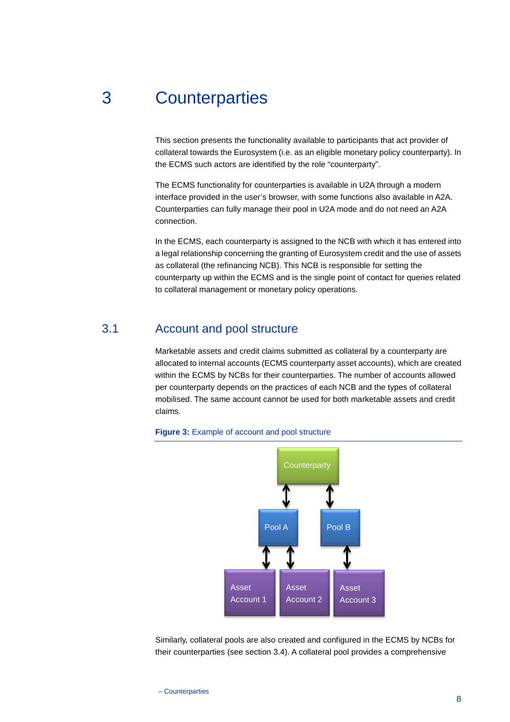## 3 Counterparties

<span id="page-8-0"></span>This section presents the functionality available to participants that act provider of collateral towards the Eurosystem (i.e. as an eligible monetary policy counterparty). In the ECMS such actors are identified by the role "counterparty".

The ECMS functionality for counterparties is available in U2A through a modern interface provided in the user's browser, with some functions also available in A2A. Counterparties can fully manage their pool in U2A mode and do not need an A2A connection.

In the ECMS, each counterparty is assigned to the NCB with which it has entered into a legal relationship concerning the granting of Eurosystem credit and the use of assets as collateral (the refinancing NCB). This NCB is responsible for setting the counterparty up within the ECMS and is the single point of contact for queries related to collateral management or monetary policy operations.

## 3.1 Account and pool structure

<span id="page-8-1"></span>Marketable assets and credit claims submitted as collateral by a counterparty are allocated to internal accounts (ECMS counterparty asset accounts), which are created within the ECMS by NCBs for their counterparties. The number of accounts allowed per counterparty depends on the practices of each NCB and the types of collateral mobilised. The same account cannot be used for both marketable assets and credit claims.



#### <span id="page-8-2"></span>**Figure 3:** Example of account and pool structure

Similarly, collateral pools are also created and configured in the ECMS by NCBs for their counterparties (see section 3.4). A collateral pool provides a comprehensive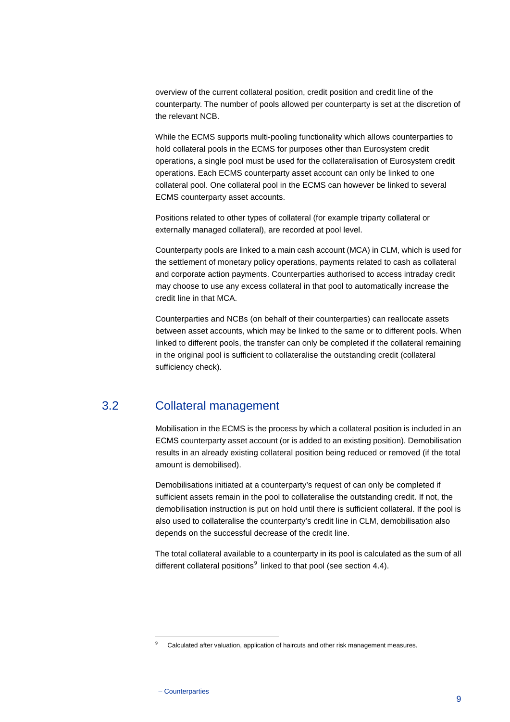overview of the current collateral position, credit position and credit line of the counterparty. The number of pools allowed per counterparty is set at the discretion of the relevant NCB.

While the ECMS supports multi-pooling functionality which allows counterparties to hold collateral pools in the ECMS for purposes other than Eurosystem credit operations, a single pool must be used for the collateralisation of Eurosystem credit operations. Each ECMS counterparty asset account can only be linked to one collateral pool. One collateral pool in the ECMS can however be linked to several ECMS counterparty asset accounts.

Positions related to other types of collateral (for example triparty collateral or externally managed collateral), are recorded at pool level.

Counterparty pools are linked to a main cash account (MCA) in CLM, which is used for the settlement of monetary policy operations, payments related to cash as collateral and corporate action payments. Counterparties authorised to access intraday credit may choose to use any excess collateral in that pool to automatically increase the credit line in that MCA.

Counterparties and NCBs (on behalf of their counterparties) can reallocate assets between asset accounts, which may be linked to the same or to different pools. When linked to different pools, the transfer can only be completed if the collateral remaining in the original pool is sufficient to collateralise the outstanding credit (collateral sufficiency check).

## 3.2 Collateral management

<span id="page-9-0"></span>Mobilisation in the ECMS is the process by which a collateral position is included in an ECMS counterparty asset account (or is added to an existing position). Demobilisation results in an already existing collateral position being reduced or removed (if the total amount is demobilised).

Demobilisations initiated at a counterparty's request of can only be completed if sufficient assets remain in the pool to collateralise the outstanding credit. If not, the demobilisation instruction is put on hold until there is sufficient collateral. If the pool is also used to collateralise the counterparty's credit line in CLM, demobilisation also depends on the successful decrease of the credit line.

The total collateral available to a counterparty in its pool is calculated as the sum of all different collateral positions $9$  linked to that pool (see section [4.4\)](#page-18-0).

<span id="page-9-1"></span><sup>&</sup>lt;sup>9</sup> Calculated after valuation, application of haircuts and other risk management measures.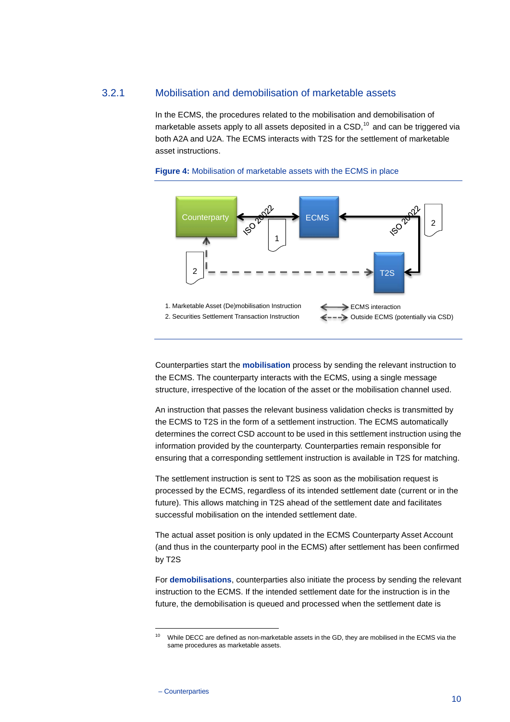#### 3.2.1 Mobilisation and demobilisation of marketable assets

In the ECMS, the procedures related to the mobilisation and demobilisation of marketable assets apply to all assets deposited in a  $\mathsf{CSD},^{10}$  $\mathsf{CSD},^{10}$  $\mathsf{CSD},^{10}$  and can be triggered via both A2A and U2A. The ECMS interacts with T2S for the settlement of marketable asset instructions.



<span id="page-10-1"></span>

Counterparties start the **mobilisation** process by sending the relevant instruction to the ECMS. The counterparty interacts with the ECMS, using a single message structure, irrespective of the location of the asset or the mobilisation channel used.

An instruction that passes the relevant business validation checks is transmitted by the ECMS to T2S in the form of a settlement instruction. The ECMS automatically determines the correct CSD account to be used in this settlement instruction using the information provided by the counterparty. Counterparties remain responsible for ensuring that a corresponding settlement instruction is available in T2S for matching.

The settlement instruction is sent to T2S as soon as the mobilisation request is processed by the ECMS, regardless of its intended settlement date (current or in the future). This allows matching in T2S ahead of the settlement date and facilitates successful mobilisation on the intended settlement date.

The actual asset position is only updated in the ECMS Counterparty Asset Account (and thus in the counterparty pool in the ECMS) after settlement has been confirmed by T2S

For **demobilisations**, counterparties also initiate the process by sending the relevant instruction to the ECMS. If the intended settlement date for the instruction is in the future, the demobilisation is queued and processed when the settlement date is

<span id="page-10-0"></span><sup>&</sup>lt;sup>10</sup> While DECC are defined as non-marketable assets in the GD, they are mobilised in the ECMS via the same procedures as marketable assets.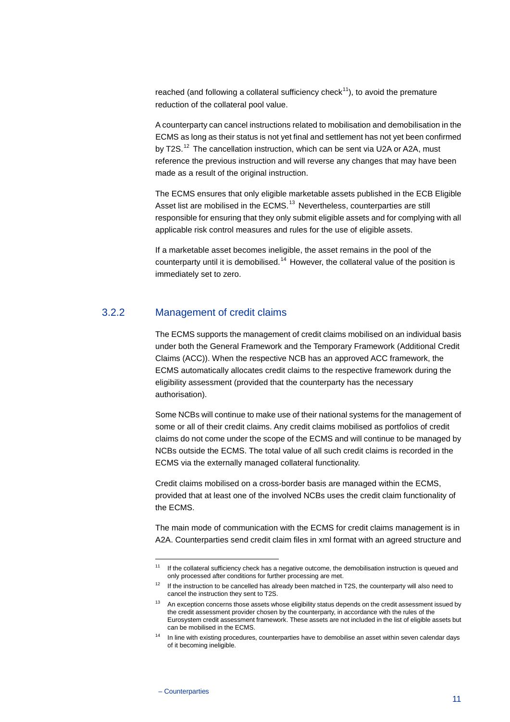reached (and following a collateral sufficiency check<sup>[11](#page-11-0)</sup>), to avoid the premature reduction of the collateral pool value.

A counterparty can cancel instructions related to mobilisation and demobilisation in the ECMS as long as their status is not yet final and settlement has not yet been confirmed by T2S.<sup>[12](#page-11-1)</sup> The cancellation instruction, which can be sent via U2A or A2A, must reference the previous instruction and will reverse any changes that may have been made as a result of the original instruction.

The ECMS ensures that only eligible marketable assets published in the ECB Eligible Asset list are mobilised in the ECMS.<sup>[13](#page-11-2)</sup> Nevertheless, counterparties are still responsible for ensuring that they only submit eligible assets and for complying with all applicable risk control measures and rules for the use of eligible assets.

If a marketable asset becomes ineligible, the asset remains in the pool of the counterparty until it is demobilised.<sup>[14](#page-11-3)</sup> However, the collateral value of the position is immediately set to zero.

#### 3.2.2 Management of credit claims

The ECMS supports the management of credit claims mobilised on an individual basis under both the General Framework and the Temporary Framework (Additional Credit Claims (ACC)). When the respective NCB has an approved ACC framework, the ECMS automatically allocates credit claims to the respective framework during the eligibility assessment (provided that the counterparty has the necessary authorisation).

Some NCBs will continue to make use of their national systems for the management of some or all of their credit claims. Any credit claims mobilised as portfolios of credit claims do not come under the scope of the ECMS and will continue to be managed by NCBs outside the ECMS. The total value of all such credit claims is recorded in the ECMS via the externally managed collateral functionality.

Credit claims mobilised on a cross-border basis are managed within the ECMS, provided that at least one of the involved NCBs uses the credit claim functionality of the ECMS.

The main mode of communication with the ECMS for credit claims management is in A2A. Counterparties send credit claim files in xml format with an agreed structure and

<span id="page-11-0"></span> $11$  If the collateral sufficiency check has a negative outcome, the demobilisation instruction is queued and only processed after conditions for further processing are met.

<span id="page-11-1"></span> $12$  If the instruction to be cancelled has already been matched in T2S, the counterparty will also need to cancel the instruction they sent to T2S.

<span id="page-11-2"></span><sup>&</sup>lt;sup>13</sup> An exception concerns those assets whose eligibility status depends on the credit assessment issued by the credit assessment provider chosen by the counterparty, in accordance with the rules of the Eurosystem credit assessment framework. These assets are not included in the list of eligible assets but can be mobilised in the ECMS.

<span id="page-11-3"></span><sup>&</sup>lt;sup>14</sup> In line with existing procedures, counterparties have to demobilise an asset within seven calendar days of it becoming ineligible.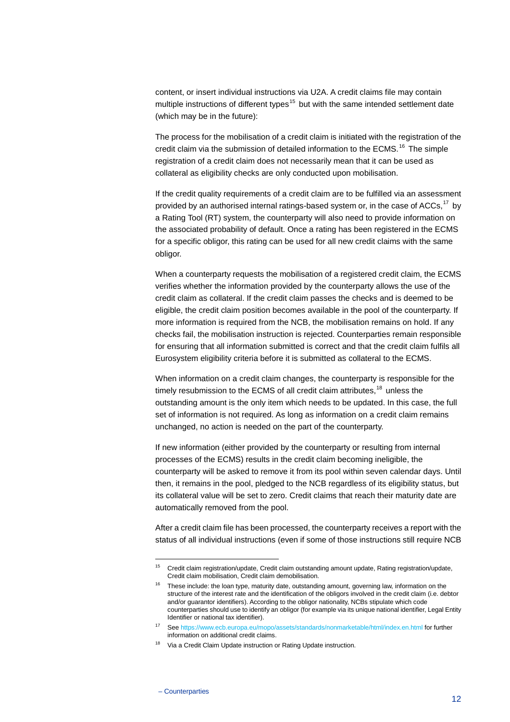content, or insert individual instructions via U2A. A credit claims file may contain multiple instructions of different types<sup>[15](#page-12-0)</sup> but with the same intended settlement date (which may be in the future):

The process for the mobilisation of a credit claim is initiated with the registration of the credit claim via the submission of detailed information to the ECMS.<sup>[16](#page-12-1)</sup> The simple registration of a credit claim does not necessarily mean that it can be used as collateral as eligibility checks are only conducted upon mobilisation.

If the credit quality requirements of a credit claim are to be fulfilled via an assessment provided by an authorised internal ratings-based system or, in the case of ACCs,<sup>[17](#page-12-2)</sup> by a Rating Tool (RT) system, the counterparty will also need to provide information on the associated probability of default. Once a rating has been registered in the ECMS for a specific obligor, this rating can be used for all new credit claims with the same obligor.

When a counterparty requests the mobilisation of a registered credit claim, the ECMS verifies whether the information provided by the counterparty allows the use of the credit claim as collateral. If the credit claim passes the checks and is deemed to be eligible, the credit claim position becomes available in the pool of the counterparty. If more information is required from the NCB, the mobilisation remains on hold. If any checks fail, the mobilisation instruction is rejected. Counterparties remain responsible for ensuring that all information submitted is correct and that the credit claim fulfils all Eurosystem eligibility criteria before it is submitted as collateral to the ECMS.

When information on a credit claim changes, the counterparty is responsible for the timely resubmission to the ECMS of all credit claim attributes,  $18$  unless the outstanding amount is the only item which needs to be updated. In this case, the full set of information is not required. As long as information on a credit claim remains unchanged, no action is needed on the part of the counterparty.

If new information (either provided by the counterparty or resulting from internal processes of the ECMS) results in the credit claim becoming ineligible, the counterparty will be asked to remove it from its pool within seven calendar days. Until then, it remains in the pool, pledged to the NCB regardless of its eligibility status, but its collateral value will be set to zero. Credit claims that reach their maturity date are automatically removed from the pool.

After a credit claim file has been processed, the counterparty receives a report with the status of all individual instructions (even if some of those instructions still require NCB

<span id="page-12-0"></span><sup>&</sup>lt;sup>15</sup> Credit claim registration/update, Credit claim outstanding amount update, Rating registration/update, Credit claim mobilisation, Credit claim demobilisation.

<span id="page-12-1"></span> $16$  These include: the loan type, maturity date, outstanding amount, governing law, information on the structure of the interest rate and the identification of the obligors involved in the credit claim (i.e. debtor and/or guarantor identifiers). According to the obligor nationality, NCBs stipulate which code counterparties should use to identify an obligor (for example via its unique national identifier, Legal Entity Identifier or national tax identifier).

Se[e https://www.ecb.europa.eu/mopo/assets/standards/nonmarketable/html/index.en.html](https://www.ecb.europa.eu/mopo/assets/standards/nonmarketable/html/index.en.html) for further information on additional credit claims.

<span id="page-12-3"></span><span id="page-12-2"></span><sup>&</sup>lt;sup>18</sup> Via a Credit Claim Update instruction or Rating Update instruction.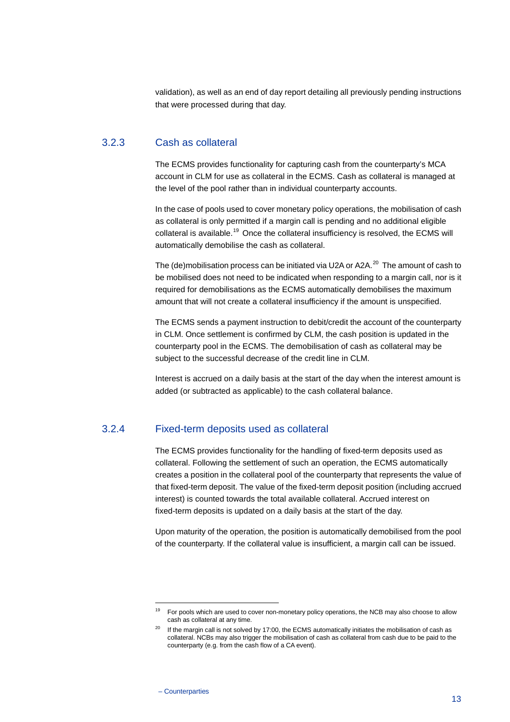<span id="page-13-2"></span>validation), as well as an end of day report detailing all previously pending instructions that were processed during that day.

#### 3.2.3 Cash as collateral

The ECMS provides functionality for capturing cash from the counterparty's MCA account in CLM for use as collateral in the ECMS. Cash as collateral is managed at the level of the pool rather than in individual counterparty accounts.

In the case of pools used to cover monetary policy operations, the mobilisation of cash as collateral is only permitted if a margin call is pending and no additional eligible collateral is available.<sup>[19](#page-13-0)</sup> Once the collateral insufficiency is resolved, the ECMS will automatically demobilise the cash as collateral.

The (de)mobilisation process can be initiated via U2A or A2A. [20](#page-13-1) The amount of cash to be mobilised does not need to be indicated when responding to a margin call, nor is it required for demobilisations as the ECMS automatically demobilises the maximum amount that will not create a collateral insufficiency if the amount is unspecified.

The ECMS sends a payment instruction to debit/credit the account of the counterparty in CLM. Once settlement is confirmed by CLM, the cash position is updated in the counterparty pool in the ECMS. The demobilisation of cash as collateral may be subject to the successful decrease of the credit line in CLM.

Interest is accrued on a daily basis at the start of the day when the interest amount is added (or subtracted as applicable) to the cash collateral balance.

### 3.2.4 Fixed-term deposits used as collateral

The ECMS provides functionality for the handling of fixed-term deposits used as collateral. Following the settlement of such an operation, the ECMS automatically creates a position in the collateral pool of the counterparty that represents the value of that fixed-term deposit. The value of the fixed-term deposit position (including accrued interest) is counted towards the total available collateral. Accrued interest on fixed-term deposits is updated on a daily basis at the start of the day.

Upon maturity of the operation, the position is automatically demobilised from the pool of the counterparty. If the collateral value is insufficient, a margin call can be issued.

<span id="page-13-1"></span><span id="page-13-0"></span> $19$  For pools which are used to cover non-monetary policy operations, the NCB may also choose to allow cash as collateral at any time.

 $20$  If the margin call is not solved by 17:00, the ECMS automatically initiates the mobilisation of cash as collateral. NCBs may also trigger the mobilisation of cash as collateral from cash due to be paid to the counterparty (e.g. from the cash flow of a CA event).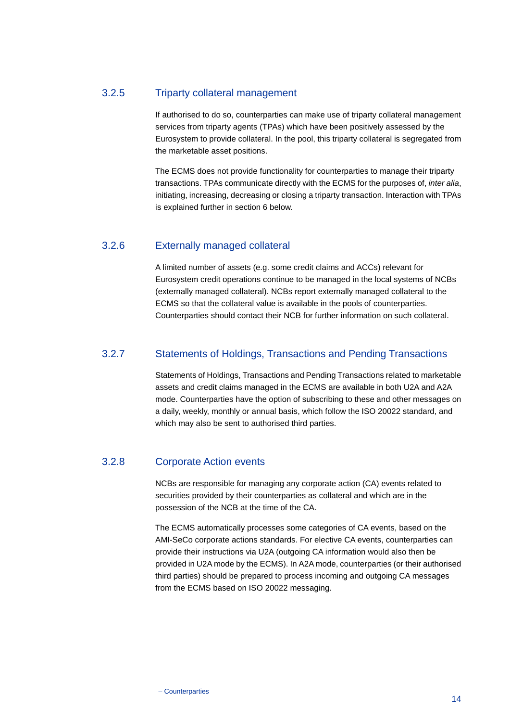## 3.2.5 Triparty collateral management

If authorised to do so, counterparties can make use of triparty collateral management services from triparty agents (TPAs) which have been positively assessed by the Eurosystem to provide collateral. In the pool, this triparty collateral is segregated from the marketable asset positions.

The ECMS does not provide functionality for counterparties to manage their triparty transactions. TPAs communicate directly with the ECMS for the purposes of, *inter alia*, initiating, increasing, decreasing or closing a triparty transaction. Interaction with TPAs is explained further in section [6](#page-24-0) below.

## 3.2.6 Externally managed collateral

A limited number of assets (e.g. some credit claims and ACCs) relevant for Eurosystem credit operations continue to be managed in the local systems of NCBs (externally managed collateral). NCBs report externally managed collateral to the ECMS so that the collateral value is available in the pools of counterparties. Counterparties should contact their NCB for further information on such collateral.

## 3.2.7 Statements of Holdings, Transactions and Pending Transactions

Statements of Holdings, Transactions and Pending Transactions related to marketable assets and credit claims managed in the ECMS are available in both U2A and A2A mode. Counterparties have the option of subscribing to these and other messages on a daily, weekly, monthly or annual basis, which follow the ISO 20022 standard, and which may also be sent to authorised third parties.

## 3.2.8 Corporate Action events

NCBs are responsible for managing any corporate action (CA) events related to securities provided by their counterparties as collateral and which are in the possession of the NCB at the time of the CA.

The ECMS automatically processes some categories of CA events, based on the AMI-SeCo corporate actions standards. For elective CA events, counterparties can provide their instructions via U2A (outgoing CA information would also then be provided in U2A mode by the ECMS). In A2A mode, counterparties (or their authorised third parties) should be prepared to process incoming and outgoing CA messages from the ECMS based on ISO 20022 messaging.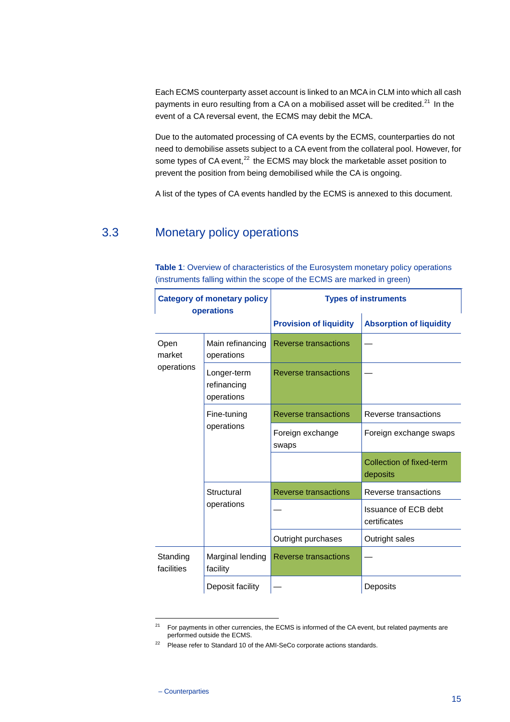Each ECMS counterparty asset account is linked to an MCA in CLM into which all cash payments in euro resulting from a CA on a mobilised asset will be credited. $^{21}$  $^{21}$  $^{21}$  In the event of a CA reversal event, the ECMS may debit the MCA.

Due to the automated processing of CA events by the ECMS, counterparties do not need to demobilise assets subject to a CA event from the collateral pool. However, for some types of CA event,<sup>[22](#page-15-2)</sup> the ECMS may block the marketable asset position to prevent the position from being demobilised while the CA is ongoing.

<span id="page-15-0"></span>A list of the types of CA events handled by the ECMS is annexed to this document.

## 3.3 Monetary policy operations

| <b>Category of monetary policy</b><br>operations |                                          | <b>Types of instruments</b>   |                                      |
|--------------------------------------------------|------------------------------------------|-------------------------------|--------------------------------------|
|                                                  |                                          | <b>Provision of liquidity</b> | <b>Absorption of liquidity</b>       |
| Open<br>market                                   | Main refinancing<br>operations           | Reverse transactions          |                                      |
| operations                                       | Longer-term<br>refinancing<br>operations | Reverse transactions          |                                      |
|                                                  | Fine-tuning<br>operations                | <b>Reverse transactions</b>   | Reverse transactions                 |
|                                                  |                                          | Foreign exchange<br>swaps     | Foreign exchange swaps               |
|                                                  |                                          |                               | Collection of fixed-term<br>deposits |
|                                                  | Structural<br>operations                 | Reverse transactions          | Reverse transactions                 |
|                                                  |                                          |                               | Issuance of ECB debt<br>certificates |
|                                                  |                                          | Outright purchases            | Outright sales                       |
| Standing<br>facilities                           | Marginal lending<br>facility             | Reverse transactions          |                                      |
|                                                  | Deposit facility                         |                               | Deposits                             |

<span id="page-15-3"></span>**Table 1**: Overview of characteristics of the Eurosystem monetary policy operations (instruments falling within the scope of the ECMS are marked in green)

<span id="page-15-2"></span><span id="page-15-1"></span><sup>&</sup>lt;sup>21</sup> For payments in other currencies, the ECMS is informed of the CA event, but related payments are performed outside the ECMS.

 $22$  Please refer to Standard 10 of the AMI-SeCo corporate actions standards.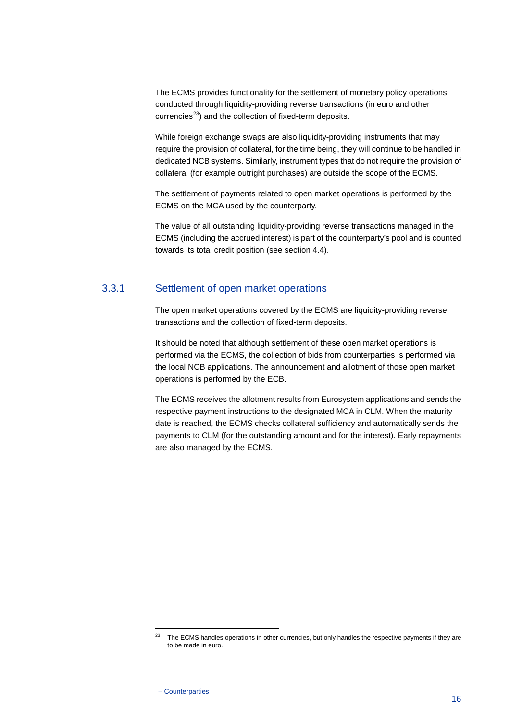The ECMS provides functionality for the settlement of monetary policy operations conducted through liquidity-providing reverse transactions (in euro and other currencies $^{23}$  $^{23}$  $^{23}$ ) and the collection of fixed-term deposits.

While foreign exchange swaps are also liquidity-providing instruments that may require the provision of collateral, for the time being, they will continue to be handled in dedicated NCB systems. Similarly, instrument types that do not require the provision of collateral (for example outright purchases) are outside the scope of the ECMS.

The settlement of payments related to open market operations is performed by the ECMS on the MCA used by the counterparty.

The value of all outstanding liquidity-providing reverse transactions managed in the ECMS (including the accrued interest) is part of the counterparty's pool and is counted towards its total credit position (see section [4.4\)](#page-18-0).

#### 3.3.1 Settlement of open market operations

The open market operations covered by the ECMS are liquidity-providing reverse transactions and the collection of fixed-term deposits.

It should be noted that although settlement of these open market operations is performed via the ECMS, the collection of bids from counterparties is performed via the local NCB applications. The announcement and allotment of those open market operations is performed by the ECB.

The ECMS receives the allotment results from Eurosystem applications and sends the respective payment instructions to the designated MCA in CLM. When the maturity date is reached, the ECMS checks collateral sufficiency and automatically sends the payments to CLM (for the outstanding amount and for the interest). Early repayments are also managed by the ECMS.

<span id="page-16-0"></span><sup>&</sup>lt;sup>23</sup> The ECMS handles operations in other currencies, but only handles the respective payments if they are to be made in euro.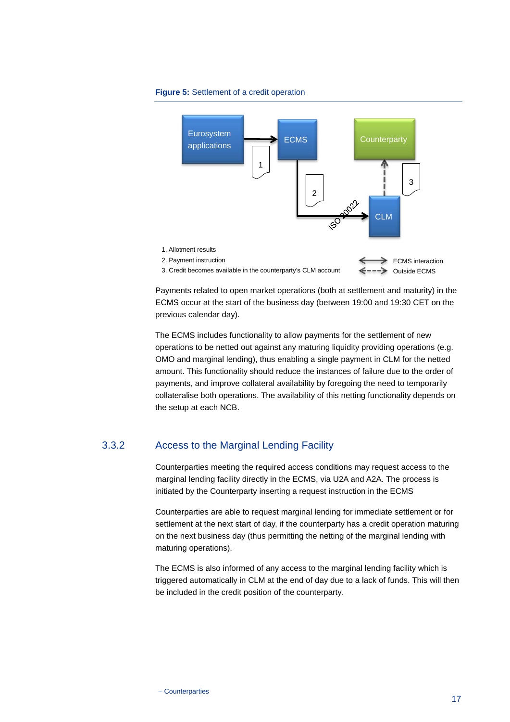<span id="page-17-0"></span>**Figure 5:** Settlement of a credit operation



Payments related to open market operations (both at settlement and maturity) in the ECMS occur at the start of the business day (between 19:00 and 19:30 CET on the previous calendar day).

The ECMS includes functionality to allow payments for the settlement of new operations to be netted out against any maturing liquidity providing operations (e.g. OMO and marginal lending), thus enabling a single payment in CLM for the netted amount. This functionality should reduce the instances of failure due to the order of payments, and improve collateral availability by foregoing the need to temporarily collateralise both operations. The availability of this netting functionality depends on the setup at each NCB.

## 3.3.2 Access to the Marginal Lending Facility

Counterparties meeting the required access conditions may request access to the marginal lending facility directly in the ECMS, via U2A and A2A. The process is initiated by the Counterparty inserting a request instruction in the ECMS

Counterparties are able to request marginal lending for immediate settlement or for settlement at the next start of day, if the counterparty has a credit operation maturing on the next business day (thus permitting the netting of the marginal lending with maturing operations).

The ECMS is also informed of any access to the marginal lending facility which is triggered automatically in CLM at the end of day due to a lack of funds. This will then be included in the credit position of the counterparty.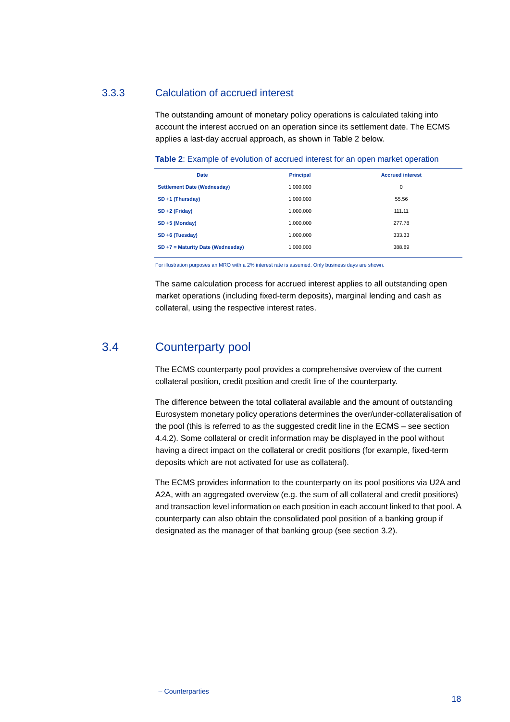#### 3.3.3 Calculation of accrued interest

The outstanding amount of monetary policy operations is calculated taking into account the interest accrued on an operation since its settlement date. The ECMS applies a last-day accrual approach, as shown in Table 2 below.

<span id="page-18-1"></span>**Table 2**: Example of evolution of accrued interest for an open market operation

| <b>Date</b>                        | <b>Principal</b> | <b>Accrued interest</b> |
|------------------------------------|------------------|-------------------------|
| <b>Settlement Date (Wednesday)</b> | 1,000,000        | 0                       |
| SD +1 (Thursday)                   | 1,000,000        | 55.56                   |
| $SD + 2$ (Friday)                  | 1,000,000        | 111.11                  |
| $SD + 5$ (Monday)                  | 1.000.000        | 277.78                  |
| SD +6 (Tuesday)                    | 1,000,000        | 333.33                  |
| SD +7 = Maturity Date (Wednesday)  | 1,000,000        | 388.89                  |

For illustration purposes an MRO with a 2% interest rate is assumed. Only business days are shown.

<span id="page-18-0"></span>The same calculation process for accrued interest applies to all outstanding open market operations (including fixed-term deposits), marginal lending and cash as collateral, using the respective interest rates.

## 3.4 Counterparty pool

The ECMS counterparty pool provides a comprehensive overview of the current collateral position, credit position and credit line of the counterparty.

The difference between the total collateral available and the amount of outstanding Eurosystem monetary policy operations determines the over/under-collateralisation of the pool (this is referred to as the suggested credit line in the ECMS – see section [4.4.2\)](#page-19-0). Some collateral or credit information may be displayed in the pool without having a direct impact on the collateral or credit positions (for example, fixed-term deposits which are not activated for use as collateral).

The ECMS provides information to the counterparty on its pool positions via U2A and A2A, with an aggregated overview (e.g. the sum of all collateral and credit positions) and transaction level information on each position in each account linked to that pool. A counterparty can also obtain the consolidated pool position of a banking group if designated as the manager of that banking group (see section [3.2\)](#page-5-2).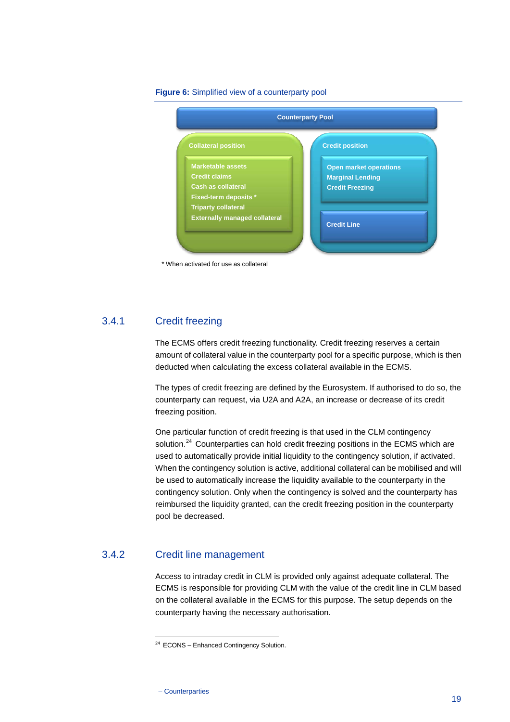

#### <span id="page-19-2"></span>**Figure 6:** Simplified view of a counterparty pool

#### 3.4.1 Credit freezing

The ECMS offers credit freezing functionality. Credit freezing reserves a certain amount of collateral value in the counterparty pool for a specific purpose, which is then deducted when calculating the excess collateral available in the ECMS.

The types of credit freezing are defined by the Eurosystem. If authorised to do so, the counterparty can request, via U2A and A2A, an increase or decrease of its credit freezing position.

One particular function of credit freezing is that used in the CLM contingency solution.<sup>[24](#page-19-1)</sup> Counterparties can hold credit freezing positions in the ECMS which are used to automatically provide initial liquidity to the contingency solution, if activated. When the contingency solution is active, additional collateral can be mobilised and will be used to automatically increase the liquidity available to the counterparty in the contingency solution. Only when the contingency is solved and the counterparty has reimbursed the liquidity granted, can the credit freezing position in the counterparty pool be decreased.

## <span id="page-19-1"></span>3.4.2 Credit line management

<span id="page-19-0"></span>Access to intraday credit in CLM is provided only against adequate collateral. The ECMS is responsible for providing CLM with the value of the credit line in CLM based on the collateral available in the ECMS for this purpose. The setup depends on the counterparty having the necessary authorisation.

<sup>&</sup>lt;sup>24</sup> ECONS – Enhanced Contingency Solution.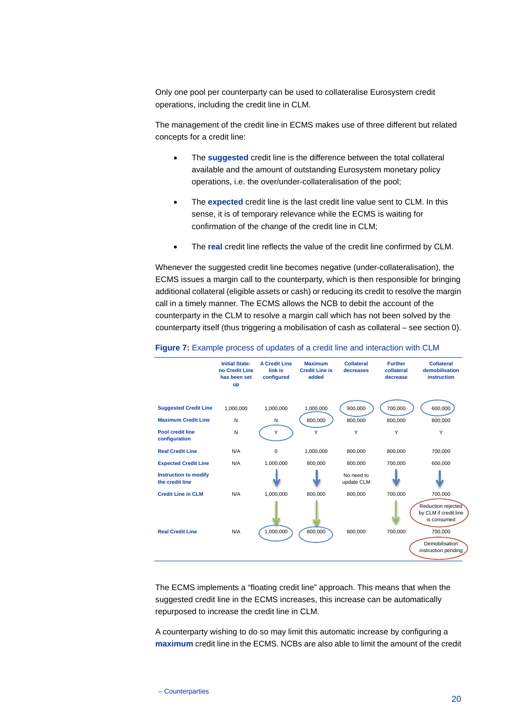Only one pool per counterparty can be used to collateralise Eurosystem credit operations, including the credit line in CLM.

The management of the credit line in ECMS makes use of three different but related concepts for a credit line:

- The **suggested** credit line is the difference between the total collateral available and the amount of outstanding Eurosystem monetary policy operations, i.e. the over/under-collateralisation of the pool;
- The **expected** credit line is the last credit line value sent to CLM. In this sense, it is of temporary relevance while the ECMS is waiting for confirmation of the change of the credit line in CLM;
- The **real** credit line reflects the value of the credit line confirmed by CLM.

Whenever the suggested credit line becomes negative (under-collateralisation), the ECMS issues a margin call to the counterparty, which is then responsible for bringing additional collateral (eligible assets or cash) or reducing its credit to resolve the margin call in a timely manner. The ECMS allows the NCB to debit the account of the counterparty in the CLM to resolve a margin call which has not been solved by the counterparty itself (thus triggering a mobilisation of cash as collateral – see sectio[n 0\)](#page-13-2).



#### <span id="page-20-0"></span>**Figure 7:** Example process of updates of a credit line and interaction with CLM

The ECMS implements a "floating credit line" approach. This means that when the suggested credit line in the ECMS increases, this increase can be automatically repurposed to increase the credit line in CLM.

A counterparty wishing to do so may limit this automatic increase by configuring a **maximum** credit line in the ECMS. NCBs are also able to limit the amount of the credit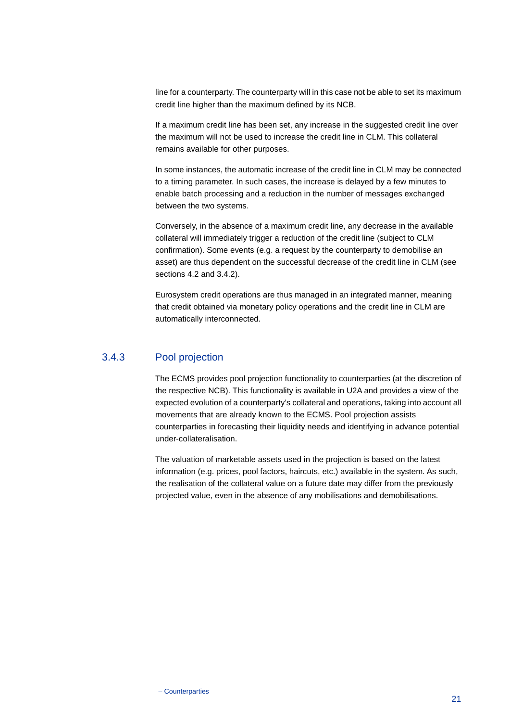line for a counterparty. The counterparty will in this case not be able to set its maximum credit line higher than the maximum defined by its NCB.

If a maximum credit line has been set, any increase in the suggested credit line over the maximum will not be used to increase the credit line in CLM. This collateral remains available for other purposes.

In some instances, the automatic increase of the credit line in CLM may be connected to a timing parameter. In such cases, the increase is delayed by a few minutes to enable batch processing and a reduction in the number of messages exchanged between the two systems.

Conversely, in the absence of a maximum credit line, any decrease in the available collateral will immediately trigger a reduction of the credit line (subject to CLM confirmation). Some events (e.g. a request by the counterparty to demobilise an asset) are thus dependent on the successful decrease of the credit line in CLM (see sections [4.2](#page-9-0) and 3.4.2).

Eurosystem credit operations are thus managed in an integrated manner, meaning that credit obtained via monetary policy operations and the credit line in CLM are automatically interconnected.

## 3.4.3 Pool projection

The ECMS provides pool projection functionality to counterparties (at the discretion of the respective NCB). This functionality is available in U2A and provides a view of the expected evolution of a counterparty's collateral and operations, taking into account all movements that are already known to the ECMS. Pool projection assists counterparties in forecasting their liquidity needs and identifying in advance potential under-collateralisation.

The valuation of marketable assets used in the projection is based on the latest information (e.g. prices, pool factors, haircuts, etc.) available in the system. As such, the realisation of the collateral value on a future date may differ from the previously projected value, even in the absence of any mobilisations and demobilisations.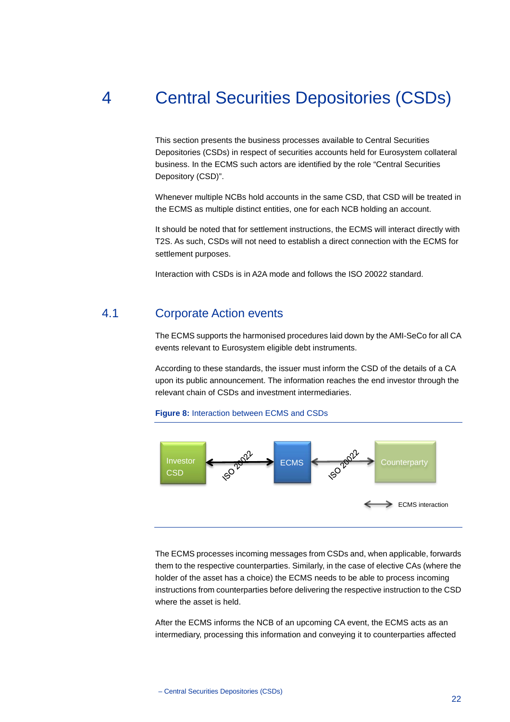# 4 Central Securities Depositories (CSDs)

<span id="page-22-0"></span>This section presents the business processes available to Central Securities Depositories (CSDs) in respect of securities accounts held for Eurosystem collateral business. In the ECMS such actors are identified by the role "Central Securities Depository (CSD)".

Whenever multiple NCBs hold accounts in the same CSD, that CSD will be treated in the ECMS as multiple distinct entities, one for each NCB holding an account.

It should be noted that for settlement instructions, the ECMS will interact directly with T2S. As such, CSDs will not need to establish a direct connection with the ECMS for settlement purposes.

<span id="page-22-1"></span>Interaction with CSDs is in A2A mode and follows the ISO 20022 standard.

## 4.1 Corporate Action events

The ECMS supports the harmonised procedures laid down by the AMI-SeCo for all CA events relevant to Eurosystem eligible debt instruments.

According to these standards, the issuer must inform the CSD of the details of a CA upon its public announcement. The information reaches the end investor through the relevant chain of CSDs and investment intermediaries.

#### <span id="page-22-2"></span>**Figure 8:** Interaction between ECMS and CSDs



The ECMS processes incoming messages from CSDs and, when applicable, forwards them to the respective counterparties. Similarly, in the case of elective CAs (where the holder of the asset has a choice) the ECMS needs to be able to process incoming instructions from counterparties before delivering the respective instruction to the CSD where the asset is held.

After the ECMS informs the NCB of an upcoming CA event, the ECMS acts as an intermediary, processing this information and conveying it to counterparties affected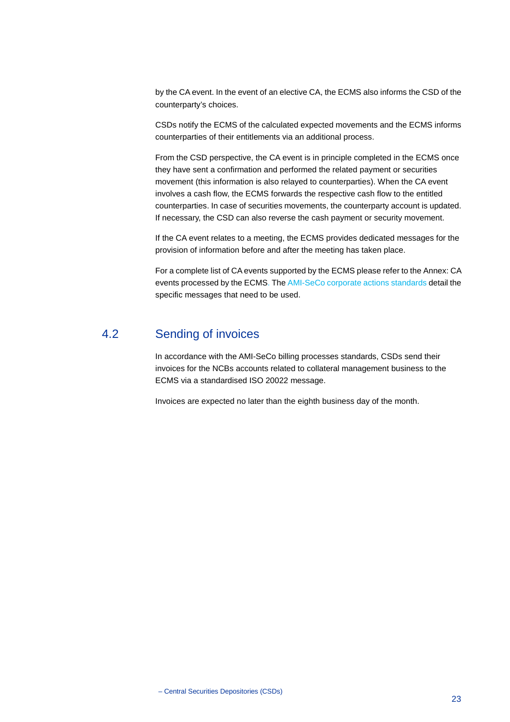by the CA event. In the event of an elective CA, the ECMS also informs the CSD of the counterparty's choices.

CSDs notify the ECMS of the calculated expected movements and the ECMS informs counterparties of their entitlements via an additional process.

From the CSD perspective, the CA event is in principle completed in the ECMS once they have sent a confirmation and performed the related payment or securities movement (this information is also relayed to counterparties). When the CA event involves a cash flow, the ECMS forwards the respective cash flow to the entitled counterparties. In case of securities movements, the counterparty account is updated. If necessary, the CSD can also reverse the cash payment or security movement.

If the CA event relates to a meeting, the ECMS provides dedicated messages for the provision of information before and after the meeting has taken place.

<span id="page-23-0"></span>For a complete list of CA events supported by the ECMS please refer to th[e Annex: CA](#page-26-0)  [events processed by the ECMS.](#page-26-0) The [AMI-SeCo corporate actions standards](https://www.ecb.europa.eu/paym/intro/publications/pdf/ecb.AMI-SeCo_Corporate_Actions.pdf?579152921f0a983d706ebcb0c5a3d75a) detail the specific messages that need to be used.

## 4.2 Sending of invoices

In accordance with the AMI-SeCo billing processes standards, CSDs send their invoices for the NCBs accounts related to collateral management business to the ECMS via a standardised ISO 20022 message.

Invoices are expected no later than the eighth business day of the month.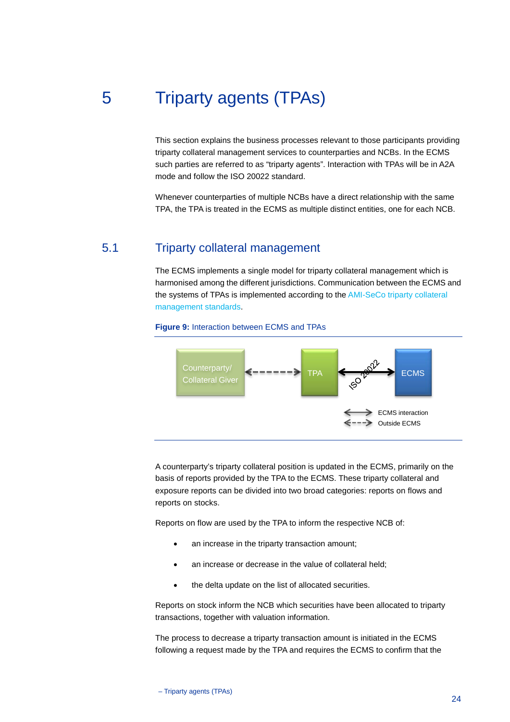# 5 Triparty agents (TPAs)

<span id="page-24-0"></span>This section explains the business processes relevant to those participants providing triparty collateral management services to counterparties and NCBs. In the ECMS such parties are referred to as "triparty agents". Interaction with TPAs will be in A2A mode and follow the ISO 20022 standard.

<span id="page-24-1"></span>Whenever counterparties of multiple NCBs have a direct relationship with the same TPA, the TPA is treated in the ECMS as multiple distinct entities, one for each NCB.

## 5.1 Triparty collateral management

The ECMS implements a single model for triparty collateral management which is harmonised among the different jurisdictions. Communication between the ECMS and the systems of TPAs is implemented according to th[e AMI-SeCo triparty collateral](https://www.ecb.europa.eu/paym/intro/publications/pdf/ecb.AMI-SeCo_Triparty_Collateral_Management.pdf?ae2b1ef39e8a462f0a0531513b17c0f3)  [management standards.](https://www.ecb.europa.eu/paym/intro/publications/pdf/ecb.AMI-SeCo_Triparty_Collateral_Management.pdf?ae2b1ef39e8a462f0a0531513b17c0f3)



#### <span id="page-24-2"></span>**Figure 9:** Interaction between ECMS and TPAs

A counterparty's triparty collateral position is updated in the ECMS, primarily on the basis of reports provided by the TPA to the ECMS. These triparty collateral and exposure reports can be divided into two broad categories: reports on flows and reports on stocks.

Reports on flow are used by the TPA to inform the respective NCB of:

- an increase in the triparty transaction amount;
- an increase or decrease in the value of collateral held;
- the delta update on the list of allocated securities.

Reports on stock inform the NCB which securities have been allocated to triparty transactions, together with valuation information.

The process to decrease a triparty transaction amount is initiated in the ECMS following a request made by the TPA and requires the ECMS to confirm that the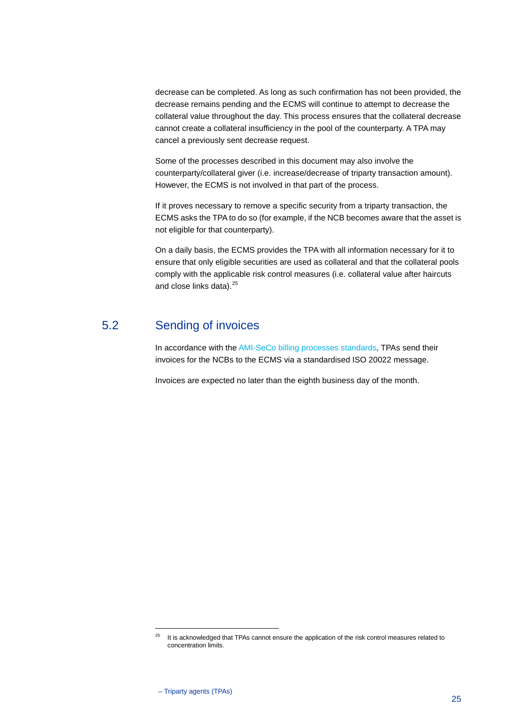decrease can be completed. As long as such confirmation has not been provided, the decrease remains pending and the ECMS will continue to attempt to decrease the collateral value throughout the day. This process ensures that the collateral decrease cannot create a collateral insufficiency in the pool of the counterparty. A TPA may cancel a previously sent decrease request.

Some of the processes described in this document may also involve the counterparty/collateral giver (i.e. increase/decrease of triparty transaction amount). However, the ECMS is not involved in that part of the process.

If it proves necessary to remove a specific security from a triparty transaction, the ECMS asks the TPA to do so (for example, if the NCB becomes aware that the asset is not eligible for that counterparty).

On a daily basis, the ECMS provides the TPA with all information necessary for it to ensure that only eligible securities are used as collateral and that the collateral pools comply with the applicable risk control measures (i.e. collateral value after haircuts and close links data).<sup>[25](#page-25-1)</sup>

## 5.2 Sending of invoices

<span id="page-25-0"></span>In accordance with th[e AMI-SeCo billing processes standards,](https://www.ecb.europa.eu/paym/intro/publications/pdf/ecb.AMI-SeCo_Billing.pdf?8555367f0b353462bd425da9a27b54e1) TPAs send their invoices for the NCBs to the ECMS via a standardised ISO 20022 message.

Invoices are expected no later than the eighth business day of the month.

<span id="page-25-1"></span><sup>&</sup>lt;sup>25</sup> It is acknowledged that TPAs cannot ensure the application of the risk control measures related to concentration limits.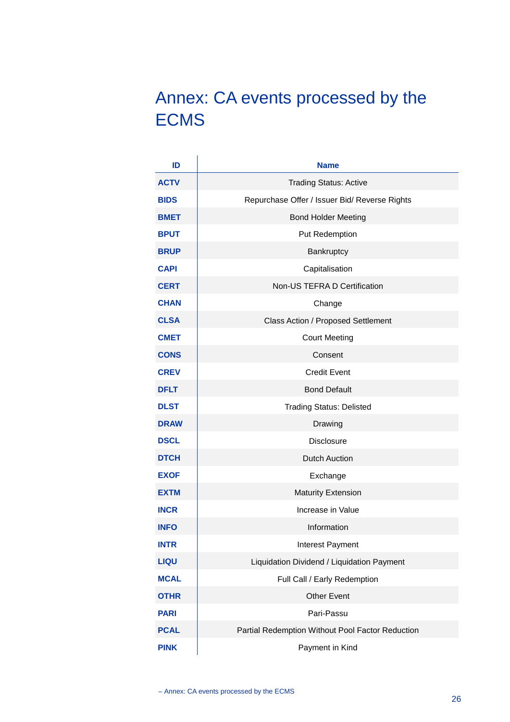# <span id="page-26-0"></span>Annex: CA events processed by the ECMS

| ID          | <b>Name</b>                                      |
|-------------|--------------------------------------------------|
| <b>ACTV</b> | <b>Trading Status: Active</b>                    |
| <b>BIDS</b> | Repurchase Offer / Issuer Bid/ Reverse Rights    |
| <b>BMET</b> | <b>Bond Holder Meeting</b>                       |
| <b>BPUT</b> | Put Redemption                                   |
| <b>BRUP</b> | Bankruptcy                                       |
| <b>CAPI</b> | Capitalisation                                   |
| <b>CERT</b> | Non-US TEFRA D Certification                     |
| <b>CHAN</b> | Change                                           |
| <b>CLSA</b> | Class Action / Proposed Settlement               |
| <b>CMET</b> | <b>Court Meeting</b>                             |
| <b>CONS</b> | Consent                                          |
| <b>CREV</b> | <b>Credit Event</b>                              |
| <b>DFLT</b> | <b>Bond Default</b>                              |
| <b>DLST</b> | <b>Trading Status: Delisted</b>                  |
| <b>DRAW</b> | Drawing                                          |
| <b>DSCL</b> | <b>Disclosure</b>                                |
| <b>DTCH</b> | <b>Dutch Auction</b>                             |
| <b>EXOF</b> | Exchange                                         |
| <b>EXTM</b> | <b>Maturity Extension</b>                        |
| <b>INCR</b> | Increase in Value                                |
| <b>INFO</b> | Information                                      |
| <b>INTR</b> | Interest Payment                                 |
| <b>LIQU</b> | Liquidation Dividend / Liquidation Payment       |
| <b>MCAL</b> | Full Call / Early Redemption                     |
| <b>OTHR</b> | <b>Other Event</b>                               |
| <b>PARI</b> | Pari-Passu                                       |
| <b>PCAL</b> | Partial Redemption Without Pool Factor Reduction |
| <b>PINK</b> | Payment in Kind                                  |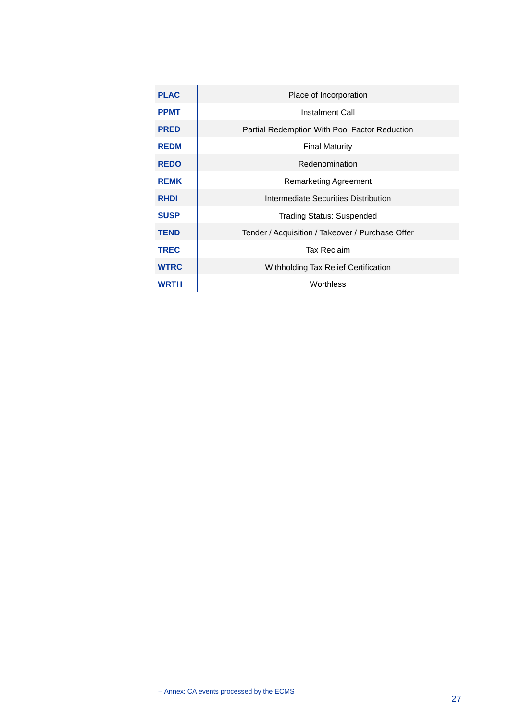| <b>PLAC</b> | Place of Incorporation                           |
|-------------|--------------------------------------------------|
| <b>PPMT</b> | Instalment Call                                  |
| <b>PRED</b> | Partial Redemption With Pool Factor Reduction    |
| <b>REDM</b> | <b>Final Maturity</b>                            |
| <b>REDO</b> | Redenomination                                   |
| <b>REMK</b> | Remarketing Agreement                            |
| <b>RHDI</b> | Intermediate Securities Distribution             |
| <b>SUSP</b> | <b>Trading Status: Suspended</b>                 |
| <b>TEND</b> | Tender / Acquisition / Takeover / Purchase Offer |
| <b>TREC</b> | Tax Reclaim                                      |
| <b>WTRC</b> | Withholding Tax Relief Certification             |
| <b>WRTH</b> | Worthless                                        |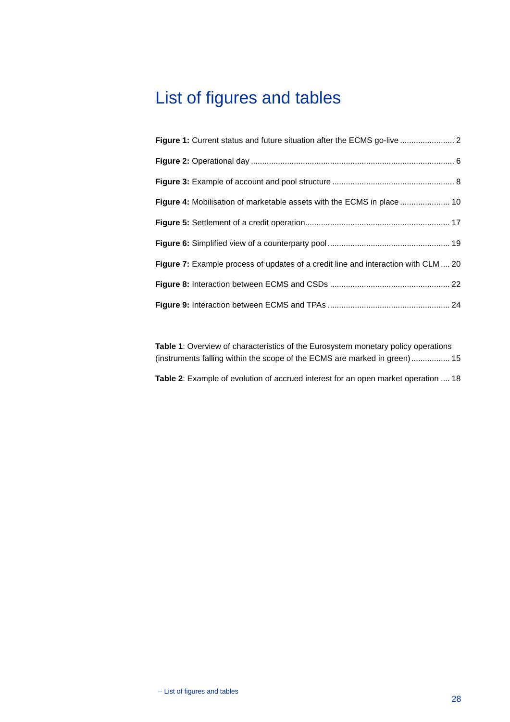# <span id="page-28-0"></span>List of figures and tables

| Figure 4: Mobilisation of marketable assets with the ECMS in place  10             |
|------------------------------------------------------------------------------------|
|                                                                                    |
|                                                                                    |
| Figure 7: Example process of updates of a credit line and interaction with CLM  20 |
|                                                                                    |
|                                                                                    |

**Table 1**[: Overview of characteristics of the Eurosystem monetary policy operations](#page-15-3)  [\(instruments falling within the scope of the ECMS are marked in green\).................](#page-15-3) 15

**Table 2**[: Example of evolution of accrued interest for an open market operation](#page-18-1) .... 18